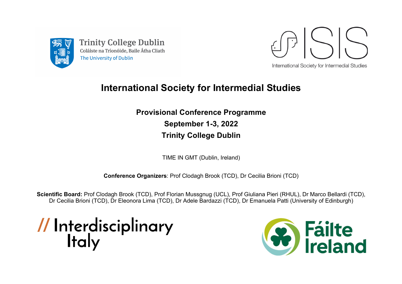

**Trinity College Dublin** Coláiste na Tríonóide, Baile Átha Cliath The University of Dublin



## **International Society for Intermedial Studies**

**Provisional Conference Programme September 1-3, 2022 Trinity College Dublin**

TIME IN GMT (Dublin, Ireland)

**Conference Organizers**: Prof Clodagh Brook (TCD), Dr Cecilia Brioni (TCD)

**Scientific Board:** Prof Clodagh Brook (TCD), Prof Florian Mussgnug (UCL), Prof Giuliana Pieri (RHUL), Dr Marco Bellardi (TCD), Dr Cecilia Brioni (TCD), Dr Eleonora Lima (TCD), Dr Adele Bardazzi (TCD), Dr Emanuela Patti (University of Edinburgh)

// Interdisciplinary<br>Italy

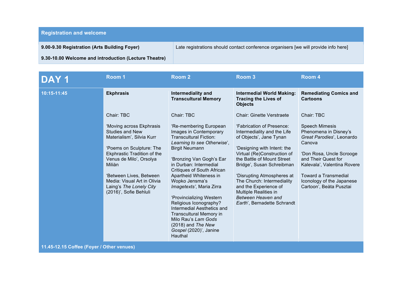**Registration and welcome**

**9.00-9.30 Registration (Arts Building Foyer) 9.30-10.00 Welcome and introduction (Lecture Theatre)** Late registrations should contact conference organisers [we will provide info here]

| DAY <sub>1</sub> | Room 1                                                                                                                                                                                                                                                                                                              | Room <sub>2</sub>                                                                                                                                                                                                                                                                                                                                      | Room <sub>3</sub>                                                                                                                                                                                                                                                                                                                                                                           | Room 4                                                                                                                                                                                                                                                                |
|------------------|---------------------------------------------------------------------------------------------------------------------------------------------------------------------------------------------------------------------------------------------------------------------------------------------------------------------|--------------------------------------------------------------------------------------------------------------------------------------------------------------------------------------------------------------------------------------------------------------------------------------------------------------------------------------------------------|---------------------------------------------------------------------------------------------------------------------------------------------------------------------------------------------------------------------------------------------------------------------------------------------------------------------------------------------------------------------------------------------|-----------------------------------------------------------------------------------------------------------------------------------------------------------------------------------------------------------------------------------------------------------------------|
| 10:15-11:45      | <b>Ekphrasis</b>                                                                                                                                                                                                                                                                                                    | Intermediality and<br><b>Transcultural Memory</b>                                                                                                                                                                                                                                                                                                      | <b>Intermedial World Making:</b><br><b>Tracing the Lives of</b><br><b>Objects</b>                                                                                                                                                                                                                                                                                                           | <b>Remediating Comics and</b><br><b>Cartoons</b>                                                                                                                                                                                                                      |
|                  | Chair: TBC<br>'Moving across Ekphrasis<br><b>Studies and New</b><br>Materialism', Silvia Kurr<br>'Poems on Sculpture: The<br><b>Ekphrastic Tradition of the</b><br>Venus de Milo', Orsolya<br>Miliàn<br>'Between Lives, Between<br>Media: Visual Art in Olivia<br>Laing's The Lonely City<br>(2016)', Sofie Behluli | Chair: TBC<br>'Re-membering European<br>Images in Contemporary<br><b>Transcultural Fiction:</b><br>Learning to see Otherwise',<br><b>Birgit Neumann</b><br>'Bronzing Van Gogh's Ear<br>in Durban: Intermedial<br><b>Critiques of South African</b><br>Apartheid Whiteness in<br>Wopko Jensma's<br>Imagetexts', Maria Zirra<br>'Provincializing Western | <b>Chair: Ginette Verstraete</b><br>'Fabrication of Presence:<br>Intermediality and the Life<br>of Objects', Jane Tynan<br>'Designing with Intent: the<br>Virtual (Re)Construction of<br>the Battle of Mount Street<br>Bridge', Susan Schreibman<br>'Disrupting Atmospheres at<br>The Church: Intermediality<br>and the Experience of<br><b>Multiple Realities in</b><br>Between Heaven and | Chair: TBC<br><b>Speech Mimesis</b><br>Phenomena in Disney's<br>Great Parodies', Leonardo<br>Canova<br>'Don Rosa, Uncle Scrooge<br>and Their Quest for<br>Kalevala', Valentina Rovere<br>Toward a Transmedial<br>Iconology of the Japanese<br>Cartoon', Beàta Pusztai |
|                  |                                                                                                                                                                                                                                                                                                                     | Religious Iconography?<br>Intermedial Aesthetics and<br><b>Transcultural Memory in</b><br>Milo Rau's Lam Gods<br>(2018) and The New<br>Gospel (2020)', Janine<br>Hauthal                                                                                                                                                                               | Earth', Bernadette Schrandt                                                                                                                                                                                                                                                                                                                                                                 |                                                                                                                                                                                                                                                                       |

**11.45-12.15 Coffee (Foyer / Other venues)**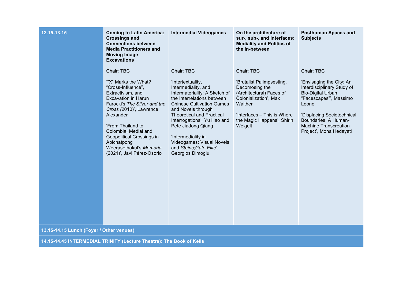| 12.15-13.15                              | <b>Coming to Latin America:</b><br><b>Crossings and</b><br><b>Connections between</b><br><b>Media Practitioners and</b><br><b>Moving Image</b><br><b>Excavations</b>                                                                                                                                                                 | <b>Intermedial Videogames</b>                                                                                                                                                                                                                                                                                                                                                      | On the architecture of<br>sur-, sub-, and interfaces:<br><b>Mediality and Politics of</b><br>the In-between                                                                                              | <b>Posthuman Spaces and</b><br><b>Subjects</b>                                                                                                                                                                                                      |
|------------------------------------------|--------------------------------------------------------------------------------------------------------------------------------------------------------------------------------------------------------------------------------------------------------------------------------------------------------------------------------------|------------------------------------------------------------------------------------------------------------------------------------------------------------------------------------------------------------------------------------------------------------------------------------------------------------------------------------------------------------------------------------|----------------------------------------------------------------------------------------------------------------------------------------------------------------------------------------------------------|-----------------------------------------------------------------------------------------------------------------------------------------------------------------------------------------------------------------------------------------------------|
|                                          | Chair: TBC<br>"X" Marks the What?<br>"Cross-Influence",<br>Extractivism, and<br><b>Excavation in Harun</b><br>Farocki's The Silver and the<br>Cross (2010)', Lawrence<br>Alexander<br>'From Thailand to<br>Colombia: Medial and<br>Geopolitical Crossings in<br>Apichatpong<br>Weerasethakul's Memoria<br>(2021)', Javi Pérez-Osorio | Chair: TBC<br>'Intertextuality,<br>Intermediality, and<br>Intermateriality: A Sketch of<br>the Interrelations between<br><b>Chinese Cultivation Games</b><br>and Novels through<br><b>Theoretical and Practical</b><br>Interrogations', Yu Hao and<br>Pete Jiadong Qiang<br>'Intermediality in<br><b>Videogames: Visual Novels</b><br>and Steins; Gate Elite',<br>Georgios Dimoglu | Chair: TBC<br>'Brutalist Palimpsesting.<br>Decomosing the<br>(Architectural) Faces of<br>Colonialization', Max<br><b>Walther</b><br>'Interfaces - This is Where<br>the Magic Happens', Shirin<br>Weigelt | Chair: TBC<br>'Envisaging the City: An<br>Interdisciplinary Study of<br><b>Bio-Digital Urban</b><br>"Facescapes", Massimo<br>Leone<br>'Displacing Sociotechnical<br>Boundaries: A Human-<br><b>Machine Transcreation</b><br>Project', Mona Hedayati |
| 13.15-14.15 Lunch (Foyer / Other venues) |                                                                                                                                                                                                                                                                                                                                      |                                                                                                                                                                                                                                                                                                                                                                                    |                                                                                                                                                                                                          |                                                                                                                                                                                                                                                     |

**14.15-14.45 INTERMEDIAL TRINITY (Lecture Theatre): The Book of Kells**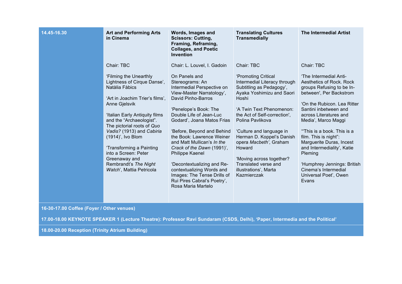| 14.45-16.30 | <b>Art and Performing Arts</b><br>in Cinema                                                                                                                                                                                                                                                                                                                                                                       | Words, Images and<br><b>Scissors: Cutting,</b><br>Framing, Reframing,<br><b>Collages, and Poetic</b><br><b>Invention</b>                                                                                                                                                                                                                                                                                                                                                                                     | <b>Translating Cultures</b><br><b>Transmedially</b>                                                                                                                                                                                                                                                                                                                                                          | <b>The Intermedial Artist</b>                                                                                                                                                                                                                                                                                                                                                                                                                          |
|-------------|-------------------------------------------------------------------------------------------------------------------------------------------------------------------------------------------------------------------------------------------------------------------------------------------------------------------------------------------------------------------------------------------------------------------|--------------------------------------------------------------------------------------------------------------------------------------------------------------------------------------------------------------------------------------------------------------------------------------------------------------------------------------------------------------------------------------------------------------------------------------------------------------------------------------------------------------|--------------------------------------------------------------------------------------------------------------------------------------------------------------------------------------------------------------------------------------------------------------------------------------------------------------------------------------------------------------------------------------------------------------|--------------------------------------------------------------------------------------------------------------------------------------------------------------------------------------------------------------------------------------------------------------------------------------------------------------------------------------------------------------------------------------------------------------------------------------------------------|
|             | Chair: TBC<br>'Filming the Unearthly<br>Lightness of Cirque Danse',<br>Natàlia Fàbics<br>'Art in Joachim Trier's films',<br>Anne Gjelsvik<br>'Italian Early Antiquity films<br>and the "Archaeologist".<br>The pictorial roots of Quo<br>Vadis? (1913) and Cabiria<br>(1914)', Ivo Blom<br>'Transforming a Painting<br>into a Screen: Peter<br>Greenaway and<br>Rembrandt's The Night<br>Watch', Mattia Petricola | Chair: L. Louvel, I. Gadoin<br>On Panels and<br>Stereograms: An<br>Intermedial Perspective on<br>View-Master Narratology',<br>David Pinho-Barros<br>'Penelope's Book: The<br>Double Life of Jean-Luc<br>Godard', Joana Matos Frias<br>'Before, Beyond and Behind<br>the Book: Lawrence Weiner<br>and Matt Mullican's In the<br>Crack of the Dawn (1991)',<br><b>Philippe Kaenel</b><br>'Decontextualizing and Re-<br>contextualizing Words and<br>Images: The Tense Drills of<br>Rui Pires Cabral's Poetry', | Chair: TBC<br>'Promoting Critical<br>Intermedial Literacy through<br>Subtitling as Pedagogy',<br>Ayaka Yoshimizu and Saori<br>Hoshi<br>'A Twin Text Phenomenon:<br>the Act of Self-correction',<br>Polina Pavlikova<br>'Culture and language in<br>Herman D. Koppel's Danish<br>opera Macbeth', Graham<br>Howard<br>'Moving across together?<br>Translated verse and<br>illustrations', Marta<br>Kazmierczak | Chair: TBC<br>'The Intermedial Anti-<br>Aesthetics of Rock. Rock<br>groups Refusing to be In-<br>between', Per Backstrom<br>'On the Rubicon. Lea Ritter<br>Santini inbetween and<br>across Literatures and<br>Media', Marco Maggi<br>"This is a book. This is a<br>film. This is night":<br>Marguerite Duras, Incest<br>and Intermediality', Katie<br>Pleming<br>'Humphrey Jennings: British<br>Cinema's Intermedial<br>Universal Poet', Owen<br>Evans |
|             | <b><i>COMMENT</i></b>                                                                                                                                                                                                                                                                                                                                                                                             | Rosa Maria Martelo                                                                                                                                                                                                                                                                                                                                                                                                                                                                                           |                                                                                                                                                                                                                                                                                                                                                                                                              |                                                                                                                                                                                                                                                                                                                                                                                                                                                        |

**16-30-17.00 Coffee (Foyer / Other venues)**

**17.00-18.00 KEYNOTE SPEAKER 1 (Lecture Theatre): Professor Ravi Sundaram (CSDS, Delhi), 'Paper, Intermedia and the Political'** 

**18.00-20.00 Reception (Trinity Atrium Building)**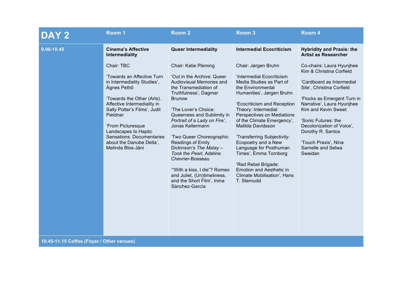| DAY <sub>2</sub>                          | Room 1                                                                                                                                                                                                                                                                                                                     | Room 2                                                                                                                                                                                                                                                                                                                                                                                                                                                                                             | Room <sub>3</sub>                                                                                                                                                                                                                                                                                                                                                                                                                                                                      | Room 4                                                                                                                                                                                                                                                                                                                                |  |
|-------------------------------------------|----------------------------------------------------------------------------------------------------------------------------------------------------------------------------------------------------------------------------------------------------------------------------------------------------------------------------|----------------------------------------------------------------------------------------------------------------------------------------------------------------------------------------------------------------------------------------------------------------------------------------------------------------------------------------------------------------------------------------------------------------------------------------------------------------------------------------------------|----------------------------------------------------------------------------------------------------------------------------------------------------------------------------------------------------------------------------------------------------------------------------------------------------------------------------------------------------------------------------------------------------------------------------------------------------------------------------------------|---------------------------------------------------------------------------------------------------------------------------------------------------------------------------------------------------------------------------------------------------------------------------------------------------------------------------------------|--|
| 9.00-10.45                                | <b>Cinema's Affective</b><br>Intermediality                                                                                                                                                                                                                                                                                | <b>Queer Intermediality</b>                                                                                                                                                                                                                                                                                                                                                                                                                                                                        | <b>Intermedial Ecocriticism</b>                                                                                                                                                                                                                                                                                                                                                                                                                                                        | <b>Hybridity and Praxis: the</b><br><b>Artist as Researcher</b>                                                                                                                                                                                                                                                                       |  |
|                                           | Chair: TBC<br>'Towards an Affective Turn<br>in Intermediality Studies',<br>Ágnes Pethő<br>'Towards the Other (Arts).<br>Affective Intermediality in<br>Sally Potter's Films', Judit<br>Pieldner<br>'From Picturesque<br>Landscapes to Haptic<br>Sensations. Documentaries<br>about the Danube Delta',<br>Melinda Blos-Jàni | Chair: Katie Pleming<br>'Out in the Archive: Queer<br>Audiovisual Memories and<br>the Transmediation of<br>Truthfulness', Dagmar<br><b>Brunow</b><br>'The Lover's Choice:<br>Queerness and Sublimity in<br>Portrait of a Lady on Fire',<br>Jonas Kellermann<br>'Two Queer Choreographic<br>Readings of Emily<br>Dickinson's The Malay-<br>Took the Pearl, Adeline<br>Chevrier-Bosseau<br>"With a kiss, I die"? Romeo<br>and Juliet, (Un)timeliness,<br>and the Short Film', Inma<br>Sànchez-Garcìa | Chair: Jørgen Bruhn<br>'Intermedial Ecocriticism<br>Media Studies as Part of<br>the Environmental<br>Humanities', Jørgen Bruhn<br>'Ecocriticism and Reception<br>Theory: Intermedial<br>Perspectives on Mediations<br>of the Climate Emergency',<br>Matilda Davidsson<br>'Transferring Subjectivity:<br>Ecopoetry and a New<br>Language for Posthuman<br>Times', Emma Tornborg<br>'Red Rebel Brigade:<br><b>Emotion and Aesthetic in</b><br>Climate Mobilisation', Hans<br>T. Sternudd | Co-chairs: Laura Hyunjhee<br>Kim & Christina Corfield<br>'Cardboard as Intermedial<br>Site', Christina Corfield<br>'Flocks as Emergent Turn in<br>Narrative', Laura Hyunjhee<br>Kim and Kevin Sweet<br>'Sonic Futures: the<br>Decolonization of Voice',<br>Dorothy R. Santos<br>'Touch Praxis', Nina<br>Sarnelle and Selwa<br>Sweidan |  |
| 10.45-11.15 Coffee (Foyer / Other venues) |                                                                                                                                                                                                                                                                                                                            |                                                                                                                                                                                                                                                                                                                                                                                                                                                                                                    |                                                                                                                                                                                                                                                                                                                                                                                                                                                                                        |                                                                                                                                                                                                                                                                                                                                       |  |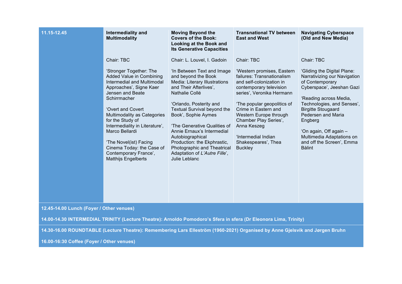| 11.15-12.45                                                                                                                  | <b>Intermediality and</b><br><b>Multimodality</b>                                                                                                                                                                                                                                                                                                                                                        | <b>Moving Beyond the</b><br><b>Covers of the Book:</b><br>Looking at the Book and<br><b>Its Generative Capacities</b>                                                                                                                                                                                                                                                                                                                            | <b>Transnational TV between</b><br><b>East and West</b>                                                                                                                                                                                                                                                                                             | <b>Navigating Cyberspace</b><br>(Old and New Media)                                                                                                                                                                                                                                                                                                  |
|------------------------------------------------------------------------------------------------------------------------------|----------------------------------------------------------------------------------------------------------------------------------------------------------------------------------------------------------------------------------------------------------------------------------------------------------------------------------------------------------------------------------------------------------|--------------------------------------------------------------------------------------------------------------------------------------------------------------------------------------------------------------------------------------------------------------------------------------------------------------------------------------------------------------------------------------------------------------------------------------------------|-----------------------------------------------------------------------------------------------------------------------------------------------------------------------------------------------------------------------------------------------------------------------------------------------------------------------------------------------------|------------------------------------------------------------------------------------------------------------------------------------------------------------------------------------------------------------------------------------------------------------------------------------------------------------------------------------------------------|
|                                                                                                                              | Chair: TBC<br>'Stronger Together: The<br>Added Value in Combining<br>Intermedial and Multimodal<br>Approaches', Signe Kaer<br>Jensen and Beate<br>Schirrmacher<br>'Overt and Covert<br>Multimodality as Categories<br>for the Study of<br>Intermediality in Literature',<br>Marco Bellardi<br>'The Novel(ist) Facing<br>Cinema Today: the Case of<br>Contemporary France',<br><b>Matthijs Engelberts</b> | Chair: L. Louvel, I. Gadoin<br>'In Between Text and Image<br>and beyond the Book<br>Media: Literary Illustrations<br>and Their Afterlives',<br>Nathalie Collé<br>'Orlando, Posterity and<br>Textual Survival beyond the<br>Book', Sophie Aymes<br>'The Generative Qualities of<br>Annie Ernaux's Intermedial<br>Autobiographical<br>Production: the Ekphrastic,<br>Photographic and Theatrical<br>Adaptation of L'Autre Fille',<br>Julie Leblanc | Chair: TBC<br>'Western promises, Eastern<br>failures: Transnationalism<br>and self-colonization in<br>contemporary television<br>series', Veronika Hermann<br>'The popular geopolitics of<br>Crime in Eastern and<br>Western Europe through<br>Chamber Play Series',<br>Anna Keszeg<br>'Intermedial Indian<br>Shakespeares', Thea<br><b>Buckley</b> | Chair: TBC<br>'Gliding the Digital Plane:<br>Narrativizing our Navigation<br>of Contemporary<br>Cyberspace', Jeeshan Gazi<br>'Reading across Media,<br>Technologies, and Senses',<br><b>Birgitte Stougaard</b><br>Pedersen and Maria<br>Engberg<br>'On again, Off again -<br>Multimedia Adaptations on<br>and off the Screen', Emma<br><b>Bàlint</b> |
| 12.45-14.00 Lunch (Foyer / Other venues)                                                                                     |                                                                                                                                                                                                                                                                                                                                                                                                          |                                                                                                                                                                                                                                                                                                                                                                                                                                                  |                                                                                                                                                                                                                                                                                                                                                     |                                                                                                                                                                                                                                                                                                                                                      |
| 14.00-14.30 INTERMEDIAL TRINITY (Lecture Theatre): Arnoldo Pomodoro's Sfera in sfera (Dr Eleonora Lima, Trinity)             |                                                                                                                                                                                                                                                                                                                                                                                                          |                                                                                                                                                                                                                                                                                                                                                                                                                                                  |                                                                                                                                                                                                                                                                                                                                                     |                                                                                                                                                                                                                                                                                                                                                      |
| 14.30-16.00 ROUNDTABLE (Lecture Theatre): Remembering Lars Elleström (1960-2021) Organised by Anne Gjelsvik and Jørgen Bruhn |                                                                                                                                                                                                                                                                                                                                                                                                          |                                                                                                                                                                                                                                                                                                                                                                                                                                                  |                                                                                                                                                                                                                                                                                                                                                     |                                                                                                                                                                                                                                                                                                                                                      |

**16.00-16:30 Coffee (Foyer / Other venues)**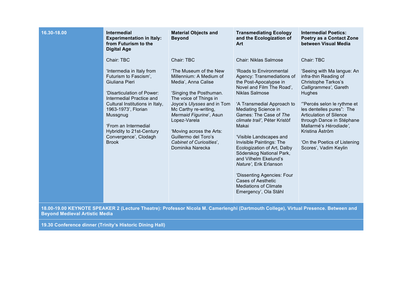| 16.30-18.00 | <b>Intermedial</b><br><b>Experimentation in Italy:</b><br>from Futurism to the<br><b>Digital Age</b>                                                                                                                                                                                                             | <b>Material Objects and</b><br><b>Beyond</b>                                                                                                                                                                                                                                                                                                      | <b>Transmediating Ecology</b><br>and the Ecologization of<br>Art                                                                                                                                                                                                                                                                                                                                                                                                                                                                | <b>Intermedial Poetics:</b><br><b>Poetry as a Contact Zone</b><br>between Visual Media                                                                                                                                                                                                                                                                             |
|-------------|------------------------------------------------------------------------------------------------------------------------------------------------------------------------------------------------------------------------------------------------------------------------------------------------------------------|---------------------------------------------------------------------------------------------------------------------------------------------------------------------------------------------------------------------------------------------------------------------------------------------------------------------------------------------------|---------------------------------------------------------------------------------------------------------------------------------------------------------------------------------------------------------------------------------------------------------------------------------------------------------------------------------------------------------------------------------------------------------------------------------------------------------------------------------------------------------------------------------|--------------------------------------------------------------------------------------------------------------------------------------------------------------------------------------------------------------------------------------------------------------------------------------------------------------------------------------------------------------------|
|             | Chair: TBC<br>'Intermedia in Italy from<br>Futurism to Fascism',<br>Giuliana Pieri<br>'Disarticulation of Power:<br>Intermedial Practice and<br>Cultural Institutions in Italy,<br>1963-1973', Florian<br>Mussgnug<br>'From an Intermedial<br>Hybridity to 21st-Century<br>Convergence', Clodagh<br><b>Brook</b> | Chair: TBC<br>'The Museum of the New<br>Millennium: A Medium of<br>Media', Anna Calise<br>'Singing the Posthuman.<br>The voice of Things in<br>Joyce's Ulysses and in Tom<br>Mc Carthy re-writing,<br>Mermaid Figurine', Asun<br>Lopez-Varela<br>'Moving across the Arts:<br>Guillermo del Toro's<br>Cabinet of Curiosities',<br>Dominika Narecka | <b>Chair: Niklas Salmose</b><br>'Roads to Environmental<br>Agency: Transmediations of<br>the Post-Apocalypse in<br>Novel and Film The Road',<br><b>Niklas Salmose</b><br>'A Transmedial Approach to<br>Mediating Science in<br>Games: The Case of The<br>climate trail', Péter Kristòf<br>Makai<br>'Visible Landscapes and<br>Invisible Paintings: The<br>Ecologization of Art, Dalby<br>Söderskog National Park,<br>and Vilhelm Ekelund's<br>Nature', Erik Erlanson<br>'Dissenting Agencies: Four<br><b>Cases of Aesthetic</b> | Chair: TBC<br>'Seeing with Ma langue: An<br>infra-thin Reading of<br><b>Christophe Tarkos's</b><br>Calligrammes', Gareth<br>Hughes<br>"Percés selon le rythme et<br>les dentelles pures": The<br><b>Articulation of Silence</b><br>through Dance in Stéphane<br>Mallarmé's Hérodiade',<br>Kristina Åström<br>'On the Poetics of Listening<br>Scores', Vadim Keylin |
|             |                                                                                                                                                                                                                                                                                                                  |                                                                                                                                                                                                                                                                                                                                                   | <b>Mediations of Climate</b><br>Emergency', Ola Ståhl                                                                                                                                                                                                                                                                                                                                                                                                                                                                           |                                                                                                                                                                                                                                                                                                                                                                    |

**18.00-19.00 KEYNOTE SPEAKER 2 (Lecture Theatre): Professor Nicola M. Camerlenghi (Dartmouth College), Virtual Presence. Between and Beyond Medieval Artistic Media**

**19.30 Conference dinner (Trinity's Historic Dining Hall)**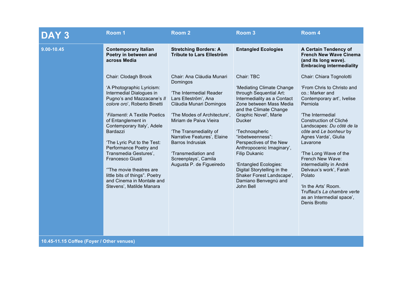| DAY <sub>3</sub>                          | Room 1                                                                                                                                                                                                                                                                                                                                                                                                                                                                   | Room <sub>2</sub>                                                                                                                                                                                                                                                                                                                            | Room <sub>3</sub>                                                                                                                                                                                                                                                                                                                                                                                                                                | Room 4                                                                                                                                                                                                                                                                                                                                                                                                                                                                      |
|-------------------------------------------|--------------------------------------------------------------------------------------------------------------------------------------------------------------------------------------------------------------------------------------------------------------------------------------------------------------------------------------------------------------------------------------------------------------------------------------------------------------------------|----------------------------------------------------------------------------------------------------------------------------------------------------------------------------------------------------------------------------------------------------------------------------------------------------------------------------------------------|--------------------------------------------------------------------------------------------------------------------------------------------------------------------------------------------------------------------------------------------------------------------------------------------------------------------------------------------------------------------------------------------------------------------------------------------------|-----------------------------------------------------------------------------------------------------------------------------------------------------------------------------------------------------------------------------------------------------------------------------------------------------------------------------------------------------------------------------------------------------------------------------------------------------------------------------|
| 9.00-10.45                                | <b>Contemporary Italian</b><br>Poetry in between and<br>across Media                                                                                                                                                                                                                                                                                                                                                                                                     | <b>Stretching Borders: A</b><br><b>Tribute to Lars Elleström</b>                                                                                                                                                                                                                                                                             | <b>Entangled Ecologies</b>                                                                                                                                                                                                                                                                                                                                                                                                                       | A Certain Tendency of<br><b>French New Wave Cinema</b><br>(and its long wave).<br><b>Embracing intermediality</b>                                                                                                                                                                                                                                                                                                                                                           |
|                                           | Chair: Clodagh Brook<br>'A Photographic Lyricism:<br>Intermedial Dialogues in<br>Pugno's and Mazzacane's II<br>colore oro', Roberto Binetti<br>'Filamenti: A Textile Poetics<br>of Entanglement in<br>Contemporary Italy', Adele<br>Bardazzi<br>'The Lyric Put to the Test:<br>Performance Poetry and<br>Transmedia Gestures',<br>Francesco Giusti<br>"The movie theatres are<br>little bits of things". Poetry<br>and Cinema in Montale and<br>Stevens', Matilde Manara | Chair: Ana Cláudia Munari<br>Domingos<br>'The Intermedial Reader<br>Lars Elleström', Ana<br>Clàudia Munari Domingos<br>'The Modes of Architecture',<br>Miriam de Paiva Vieira<br>'The Transmediality of<br>Narrative Features', Elaine<br><b>Barros Indrusiak</b><br>'Transmediation and<br>Screenplays', Camila<br>Augusta P. de Figueiredo | Chair: TBC<br>'Mediating Climate Change<br>through Sequential Art:<br>Intermediality as a Contact<br>Zone between Mass Media<br>and the Climate Change<br>Graphic Novel', Marie<br><b>Ducker</b><br>'Technospheric<br>"inbetweenness":<br>Perspectives of the New<br>Anthropocenic Imaginary',<br><b>Filip Dukanic</b><br>'Entangled Ecologies:<br>Digital Storytelling in the<br>Shaker Forest Landscape',<br>Damiano Benvegnù and<br>John Bell | Chair: Chiara Tognolotti<br>'From Chris to Christo and<br>co.: Marker and<br>Contemporary art', Ivelise<br>Perniola<br>'The Intermedial<br>Construction of Cliché<br>Landscapes: Du côté de la<br>côte and Le bonheur by<br>Agnes Varda', Giulia<br>Lavarone<br>'The Long Wave of the<br>French New Wave:<br>intermediality in André<br>Delvaux's work', Farah<br>Polato<br>'In the Arts' Room.<br>Truffaut's La chambre verte<br>as an Intermedial space',<br>Denis Brotto |
| 10.45-11.15 Coffee (Foyer / Other venues) |                                                                                                                                                                                                                                                                                                                                                                                                                                                                          |                                                                                                                                                                                                                                                                                                                                              |                                                                                                                                                                                                                                                                                                                                                                                                                                                  |                                                                                                                                                                                                                                                                                                                                                                                                                                                                             |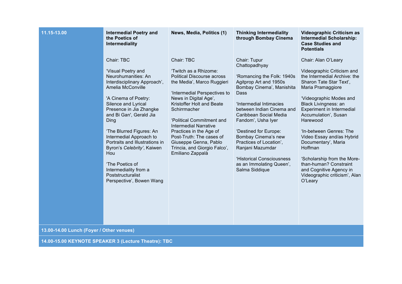| 11.15-13.00                              | <b>Intermedial Poetry and</b><br>the Poetics of<br>Intermediality                                                                                                                                                                                                                                                                                                                                                                                    | News, Media, Politics (1)                                                                                                                                                                                                                                                                                                                                                                                     | <b>Thinking Intermediality</b><br>through Bombay Cinema                                                                                                                                                                                                                                                                                                                                                      | <b>Videographic Criticism as</b><br><b>Intermedial Scholarship:</b><br><b>Case Studies and</b><br><b>Potentials</b>                                                                                                                                                                                                                                                                                                                                                             |  |
|------------------------------------------|------------------------------------------------------------------------------------------------------------------------------------------------------------------------------------------------------------------------------------------------------------------------------------------------------------------------------------------------------------------------------------------------------------------------------------------------------|---------------------------------------------------------------------------------------------------------------------------------------------------------------------------------------------------------------------------------------------------------------------------------------------------------------------------------------------------------------------------------------------------------------|--------------------------------------------------------------------------------------------------------------------------------------------------------------------------------------------------------------------------------------------------------------------------------------------------------------------------------------------------------------------------------------------------------------|---------------------------------------------------------------------------------------------------------------------------------------------------------------------------------------------------------------------------------------------------------------------------------------------------------------------------------------------------------------------------------------------------------------------------------------------------------------------------------|--|
|                                          | Chair: TBC<br>'Visual Poetry and<br>Neurohumanities: An<br>Interdisciplinary Approach',<br>Amelia McConville<br>'A Cinema of Poetry:<br>Silence and Lyrical<br>Presence in Jia Zhangke<br>and Bi Gan', Gerald Jia<br>Ding<br>'The Blurred Figures: An<br>Intermedial Approach to<br>Portraits and Illustrations in<br>Byron's Celebrity', Kaiwen<br>Hou<br>'The Poetics of<br>Intermediality from a<br>Poststructuralist<br>Perspective', Bowen Wang | Chair: TBC<br>'Twitch as a Rhizome:<br><b>Political Discourse across</b><br>the Media', Marco Ruggieri<br>'Intermedial Perspectives to<br>News in Digital Age',<br>Kristoffer Holt and Beate<br>Schirrmacher<br>'Political Commitment and<br><b>Intermedial Narrative</b><br>Practices in the Age of<br>Post-Truth: The cases of<br>Giuseppe Genna, Pablo<br>Trincia, and Giorgio Falco',<br>Emiliano Zappalà | Chair: Tupur<br>Chattopadhyay<br>'Romancing the Folk: 1940s<br>Agitprop Art and 1950s<br>Bombay Cinema', Manishita<br>Dass<br>'Intermedial Intimacies<br>between Indian Cinema and<br>Caribbean Social Media<br>Fandom', Usha Iyer<br>'Destined for Europe:<br>Bombay Cinema's new<br>Practices of Location',<br>Ranjani Mazumdar<br>'Historical Consciousness<br>as an Immolating Queen',<br>Salma Siddique | Chair: Alan O'Leary<br>Videographic Criticism and<br>the Intermedial Archive: the<br>Sharon Tate Star Text',<br>Maria Pramaggiore<br>'Videographic Modes and<br>Black Livingness: an<br>Experiment in Intermedial<br>Accumulation', Susan<br>Harewood<br>'In-between Genres: The<br>Video Essay and/as Hybrid<br>Documentary', Maria<br>Hoffman<br>'Scholarship from the More-<br>than-human? Constraint<br>and Cognitive Agency in<br>Videographic criticism', Alan<br>O'Leary |  |
| 13.00-14.00 Lunch (Foyer / Other venues) |                                                                                                                                                                                                                                                                                                                                                                                                                                                      |                                                                                                                                                                                                                                                                                                                                                                                                               |                                                                                                                                                                                                                                                                                                                                                                                                              |                                                                                                                                                                                                                                                                                                                                                                                                                                                                                 |  |

**14.00-15.00 KEYNOTE SPEAKER 3 (Lecture Theatre): TBC**